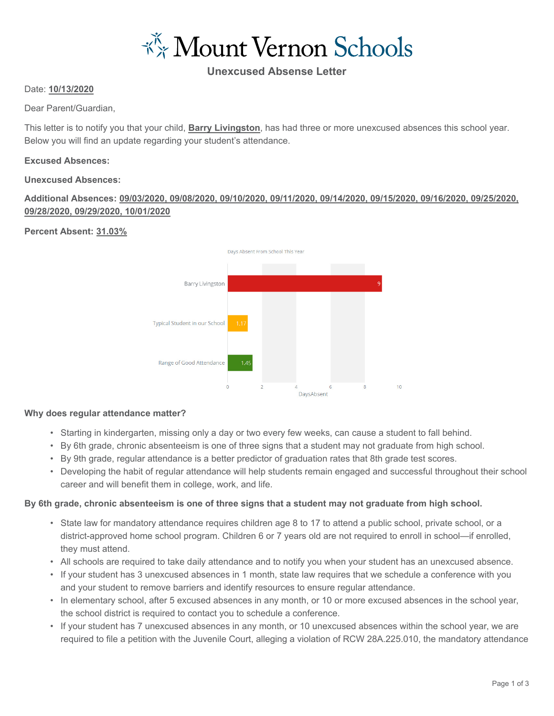\*\* Mount Vernon Schools

# **Unexcused Absense Letter**

#### Date: **10/13/2020**

Dear Parent/Guardian,

This letter is to notify you that your child, **Barry Livingston**, has had three or more unexcused absences this school year. Below you will find an update regarding your student's attendance.

#### **Excused Absences:**

#### **Unexcused Absences:**

## **Additional Absences: 09/03/2020, 09/08/2020, 09/10/2020, 09/11/2020, 09/14/2020, 09/15/2020, 09/16/2020, 09/25/2020, 09/28/2020, 09/29/2020, 10/01/2020**

## **Percent Absent: 31.03%**



#### **Why does regular attendance matter?**

- Starting in kindergarten, missing only a day or two every few weeks, can cause a student to fall behind.
- By 6th grade, chronic absenteeism is one of three signs that a student may not graduate from high school.
- By 9th grade, regular attendance is a better predictor of graduation rates that 8th grade test scores.
- Developing the habit of regular attendance will help students remain engaged and successful throughout their school career and will benefit them in college, work, and life.

## **By 6th grade, chronic absenteeism is one of three signs that a student may not graduate from high school.**

- State law for mandatory attendance requires children age 8 to 17 to attend a public school, private school, or a district-approved home school program. Children 6 or 7 years old are not required to enroll in school—if enrolled, they must attend.
- All schools are required to take daily attendance and to notify you when your student has an unexcused absence.
- If your student has 3 unexcused absences in 1 month, state law requires that we schedule a conference with you and your student to remove barriers and identify resources to ensure regular attendance.
- In elementary school, after 5 excused absences in any month, or 10 or more excused absences in the school year, the school district is required to contact you to schedule a conference.
- If your student has 7 unexcused absences in any month, or 10 unexcused absences within the school year, we are required to file a petition with the Juvenile Court, alleging a violation of RCW 28A.225.010, the mandatory attendance